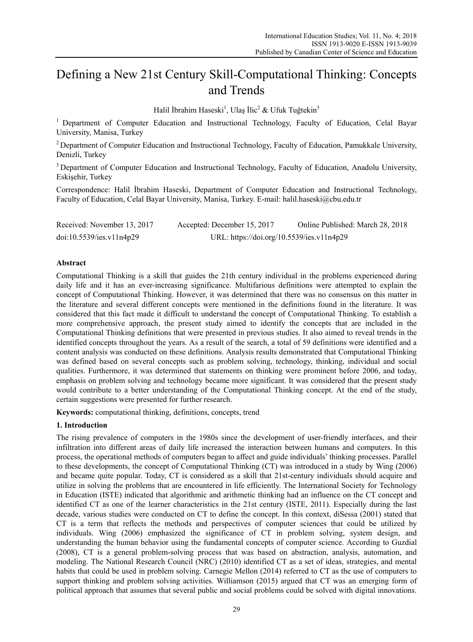# Defining a New 21st Century Skill-Computational Thinking: Concepts and Trends

Halil İbrahim Haseski<sup>1</sup>, Ulaş İlic<sup>2</sup> & Ufuk Tuğtekin<sup>3</sup>

<sup>1</sup> Department of Computer Education and Instructional Technology, Faculty of Education, Celal Bayar University, Manisa, Turkey

<sup>2</sup> Department of Computer Education and Instructional Technology, Faculty of Education, Pamukkale University, Denizli, Turkey

<sup>3</sup> Department of Computer Education and Instructional Technology, Faculty of Education, Anadolu University, Eskişehir, Turkey

Correspondence: Halil İbrahim Haseski, Department of Computer Education and Instructional Technology, Faculty of Education, Celal Bayar University, Manisa, Turkey. E-mail: halil.haseski@cbu.edu.tr

| Received: November 13, 2017 | Accepted: December 15, 2017               | Online Published: March 28, 2018 |
|-----------------------------|-------------------------------------------|----------------------------------|
| doi:10.5539/ies.v11n4p29    | URL: https://doi.org/10.5539/ies.v11n4p29 |                                  |

## **Abstract**

Computational Thinking is a skill that guides the 21th century individual in the problems experienced during daily life and it has an ever-increasing significance. Multifarious definitions were attempted to explain the concept of Computational Thinking. However, it was determined that there was no consensus on this matter in the literature and several different concepts were mentioned in the definitions found in the literature. It was considered that this fact made it difficult to understand the concept of Computational Thinking. To establish a more comprehensive approach, the present study aimed to identify the concepts that are included in the Computational Thinking definitions that were presented in previous studies. It also aimed to reveal trends in the identified concepts throughout the years. As a result of the search, a total of 59 definitions were identified and a content analysis was conducted on these definitions. Analysis results demonstrated that Computational Thinking was defined based on several concepts such as problem solving, technology, thinking, individual and social qualities. Furthermore, it was determined that statements on thinking were prominent before 2006, and today, emphasis on problem solving and technology became more significant. It was considered that the present study would contribute to a better understanding of the Computational Thinking concept. At the end of the study, certain suggestions were presented for further research.

**Keywords:** computational thinking, definitions, concepts, trend

## **1. Introduction**

The rising prevalence of computers in the 1980s since the development of user-friendly interfaces, and their infiltration into different areas of daily life increased the interaction between humans and computers. In this process, the operational methods of computers began to affect and guide individuals' thinking processes. Parallel to these developments, the concept of Computational Thinking (CT) was introduced in a study by Wing (2006) and became quite popular. Today, CT is considered as a skill that 21st-century individuals should acquire and utilize in solving the problems that are encountered in life efficiently. The International Society for Technology in Education (ISTE) indicated that algorithmic and arithmetic thinking had an influence on the CT concept and identified CT as one of the learner characteristics in the 21st century (ISTE, 2011). Especially during the last decade, various studies were conducted on CT to define the concept. In this context, diSessa (2001) stated that CT is a term that reflects the methods and perspectives of computer sciences that could be utilized by individuals. Wing (2006) emphasized the significance of CT in problem solving, system design, and understanding the human behavior using the fundamental concepts of computer science. According to Guzdial (2008), CT is a general problem-solving process that was based on abstraction, analysis, automation, and modeling. The National Research Council (NRC) (2010) identified CT as a set of ideas, strategies, and mental habits that could be used in problem solving. Carnegie Mellon (2014) referred to CT as the use of computers to support thinking and problem solving activities. Williamson (2015) argued that CT was an emerging form of political approach that assumes that several public and social problems could be solved with digital innovations.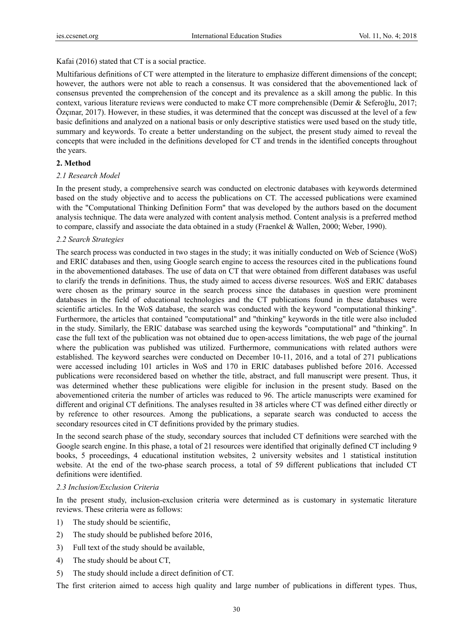## Kafai (2016) stated that CT is a social practice.

Multifarious definitions of CT were attempted in the literature to emphasize different dimensions of the concept; however, the authors were not able to reach a consensus. It was considered that the abovementioned lack of consensus prevented the comprehension of the concept and its prevalence as a skill among the public. In this context, various literature reviews were conducted to make CT more comprehensible (Demir & Seferoğlu, 2017; Özçınar, 2017). However, in these studies, it was determined that the concept was discussed at the level of a few basic definitions and analyzed on a national basis or only descriptive statistics were used based on the study title, summary and keywords. To create a better understanding on the subject, the present study aimed to reveal the concepts that were included in the definitions developed for CT and trends in the identified concepts throughout the years.

# **2. Method**

#### *2.1 Research Model*

In the present study, a comprehensive search was conducted on electronic databases with keywords determined based on the study objective and to access the publications on CT. The accessed publications were examined with the "Computational Thinking Definition Form" that was developed by the authors based on the document analysis technique. The data were analyzed with content analysis method. Content analysis is a preferred method to compare, classify and associate the data obtained in a study (Fraenkel & Wallen, 2000; Weber, 1990).

#### *2.2 Search Strategies*

The search process was conducted in two stages in the study; it was initially conducted on Web of Science (WoS) and ERIC databases and then, using Google search engine to access the resources cited in the publications found in the abovementioned databases. The use of data on CT that were obtained from different databases was useful to clarify the trends in definitions. Thus, the study aimed to access diverse resources. WoS and ERIC databases were chosen as the primary source in the search process since the databases in question were prominent databases in the field of educational technologies and the CT publications found in these databases were scientific articles. In the WoS database, the search was conducted with the keyword "computational thinking". Furthermore, the articles that contained "computational" and "thinking" keywords in the title were also included in the study. Similarly, the ERIC database was searched using the keywords "computational" and "thinking". In case the full text of the publication was not obtained due to open-access limitations, the web page of the journal where the publication was published was utilized. Furthermore, communications with related authors were established. The keyword searches were conducted on December 10-11, 2016, and a total of 271 publications were accessed including 101 articles in WoS and 170 in ERIC databases published before 2016. Accessed publications were reconsidered based on whether the title, abstract, and full manuscript were present. Thus, it was determined whether these publications were eligible for inclusion in the present study. Based on the abovementioned criteria the number of articles was reduced to 96. The article manuscripts were examined for different and original CT definitions. The analyses resulted in 38 articles where CT was defined either directly or by reference to other resources. Among the publications, a separate search was conducted to access the secondary resources cited in CT definitions provided by the primary studies.

In the second search phase of the study, secondary sources that included CT definitions were searched with the Google search engine. In this phase, a total of 21 resources were identified that originally defined CT including 9 books, 5 proceedings, 4 educational institution websites, 2 university websites and 1 statistical institution website. At the end of the two-phase search process, a total of 59 different publications that included CT definitions were identified.

## *2.3 Inclusion/Exclusion Criteria*

In the present study, inclusion-exclusion criteria were determined as is customary in systematic literature reviews. These criteria were as follows:

- 1) The study should be scientific,
- 2) The study should be published before 2016,
- 3) Full text of the study should be available,
- 4) The study should be about CT,
- 5) The study should include a direct definition of CT.

The first criterion aimed to access high quality and large number of publications in different types. Thus,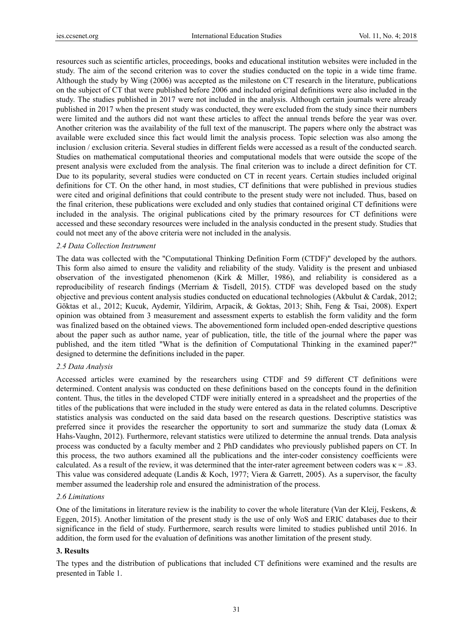resources such as scientific articles, proceedings, books and educational institution websites were included in the study. The aim of the second criterion was to cover the studies conducted on the topic in a wide time frame. Although the study by Wing (2006) was accepted as the milestone on CT research in the literature, publications on the subject of CT that were published before 2006 and included original definitions were also included in the study. The studies published in 2017 were not included in the analysis. Although certain journals were already published in 2017 when the present study was conducted, they were excluded from the study since their numbers were limited and the authors did not want these articles to affect the annual trends before the year was over. Another criterion was the availability of the full text of the manuscript. The papers where only the abstract was available were excluded since this fact would limit the analysis process. Topic selection was also among the inclusion / exclusion criteria. Several studies in different fields were accessed as a result of the conducted search. Studies on mathematical computational theories and computational models that were outside the scope of the present analysis were excluded from the analysis. The final criterion was to include a direct definition for CT. Due to its popularity, several studies were conducted on CT in recent years. Certain studies included original definitions for CT. On the other hand, in most studies, CT definitions that were published in previous studies were cited and original definitions that could contribute to the present study were not included. Thus, based on the final criterion, these publications were excluded and only studies that contained original CT definitions were included in the analysis. The original publications cited by the primary resources for CT definitions were accessed and these secondary resources were included in the analysis conducted in the present study. Studies that could not meet any of the above criteria were not included in the analysis.

#### *2.4 Data Collection Instrument*

The data was collected with the "Computational Thinking Definition Form (CTDF)" developed by the authors. This form also aimed to ensure the validity and reliability of the study. Validity is the present and unbiased observation of the investigated phenomenon (Kirk & Miller, 1986), and reliability is considered as a reproducibility of research findings (Merriam & Tisdell, 2015). CTDF was developed based on the study objective and previous content analysis studies conducted on educational technologies (Akbulut & Cardak, 2012; Göktas et al., 2012; Kucuk, Aydemir, Yildirim, Arpacik, & Goktas, 2013; Shih, Feng & Tsai, 2008). Expert opinion was obtained from 3 measurement and assessment experts to establish the form validity and the form was finalized based on the obtained views. The abovementioned form included open-ended descriptive questions about the paper such as author name, year of publication, title, the title of the journal where the paper was published, and the item titled "What is the definition of Computational Thinking in the examined paper?" designed to determine the definitions included in the paper.

#### *2.5 Data Analysis*

Accessed articles were examined by the researchers using CTDF and 59 different CT definitions were determined. Content analysis was conducted on these definitions based on the concepts found in the definition content. Thus, the titles in the developed CTDF were initially entered in a spreadsheet and the properties of the titles of the publications that were included in the study were entered as data in the related columns. Descriptive statistics analysis was conducted on the said data based on the research questions. Descriptive statistics was preferred since it provides the researcher the opportunity to sort and summarize the study data (Lomax & Hahs-Vaughn, 2012). Furthermore, relevant statistics were utilized to determine the annual trends. Data analysis process was conducted by a faculty member and 2 PhD candidates who previously published papers on CT. In this process, the two authors examined all the publications and the inter-coder consistency coefficients were calculated. As a result of the review, it was determined that the inter-rater agreement between coders was  $\kappa = .83$ . This value was considered adequate (Landis & Koch, 1977; Viera & Garrett, 2005). As a supervisor, the faculty member assumed the leadership role and ensured the administration of the process.

## *2.6 Limitations*

One of the limitations in literature review is the inability to cover the whole literature (Van der Kleij, Feskens, & Eggen, 2015). Another limitation of the present study is the use of only WoS and ERIC databases due to their significance in the field of study. Furthermore, search results were limited to studies published until 2016. In addition, the form used for the evaluation of definitions was another limitation of the present study.

## **3. Results**

The types and the distribution of publications that included CT definitions were examined and the results are presented in Table 1.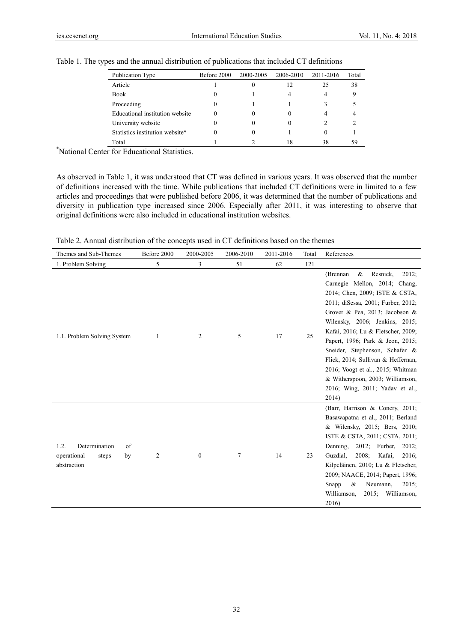| Publication Type                            | Before 2000 | 2000-2005 | 2006-2010 | 2011-2016 | Total |
|---------------------------------------------|-------------|-----------|-----------|-----------|-------|
| Article                                     |             | $\theta$  | 12        | 25        | 38    |
| <b>Book</b>                                 | 0           |           | 4         | 4         | 9     |
| Proceeding                                  | 0           |           |           |           |       |
| Educational institution website             | $\theta$    | $\theta$  | 0         |           |       |
| University website                          | $\theta$    |           | $\theta$  |           |       |
| Statistics institution website*             | $\theta$    |           |           | $\Omega$  |       |
| Total                                       |             |           | 18        | 38        | 59    |
| National Center for Educational Statistics. |             |           |           |           |       |

| Table 1. The types and the annual distribution of publications that included CT definitions |  |  |
|---------------------------------------------------------------------------------------------|--|--|
|---------------------------------------------------------------------------------------------|--|--|

As observed in Table 1, it was understood that CT was defined in various years. It was observed that the number of definitions increased with the time. While publications that included CT definitions were in limited to a few articles and proceedings that were published before 2006, it was determined that the number of publications and diversity in publication type increased since 2006. Especially after 2011, it was interesting to observe that original definitions were also included in educational institution websites.

Table 2. Annual distribution of the concepts used in CT definitions based on the themes

| Themes and Sub-Themes                                                    | Before 2000    | 2000-2005        | 2006-2010 | 2011-2016 | Total | References                                                                                                                                                                                                                                                                                                                                                                                                                                                                                |
|--------------------------------------------------------------------------|----------------|------------------|-----------|-----------|-------|-------------------------------------------------------------------------------------------------------------------------------------------------------------------------------------------------------------------------------------------------------------------------------------------------------------------------------------------------------------------------------------------------------------------------------------------------------------------------------------------|
| 1. Problem Solving                                                       | 5              | 3                | 51        | 62        | 121   |                                                                                                                                                                                                                                                                                                                                                                                                                                                                                           |
| 1.1. Problem Solving System                                              | 1              | 2                | 5         | 17        | 25    | $\&$<br>Resnick.<br>2012;<br>(Brennan<br>Carnegie Mellon, 2014; Chang,<br>2014; Chen, 2009; ISTE & CSTA,<br>2011; diSessa, 2001; Furber, 2012;<br>Grover & Pea, 2013; Jacobson &<br>Wilensky, 2006; Jenkins, 2015;<br>Kafai, 2016; Lu & Fletscher, 2009;<br>Papert, 1996; Park & Jeon, 2015;<br>Sneider, Stephenson, Schafer &<br>Flick, 2014; Sullivan & Heffernan,<br>2016; Voogt et al., 2015; Whitman<br>& Witherspoon, 2003; Williamson,<br>2016; Wing, 2011; Yadav et al.,<br>2014) |
| Determination<br>of<br>1.2.<br>operational<br>by<br>steps<br>abstraction | $\mathfrak{2}$ | $\boldsymbol{0}$ | 7         | 14        | 23    | (Barr, Harrison & Conery, 2011;<br>Basawapatna et al., 2011; Berland<br>& Wilensky, 2015; Bers, 2010;<br>ISTE & CSTA, 2011; CSTA, 2011;<br>Denning.<br>$2012$ ;<br>Furber,<br>2012;<br>Guzdial.<br>2008:<br>Kafai,<br>2016:<br>Kilpeläinen, 2010; Lu & Fletscher,<br>2009; NAACE, 2014; Papert, 1996;<br>&<br>2015;<br>Snapp<br>Neumann,<br>Williamson,<br>2015;<br>Williamson,<br>2016)                                                                                                  |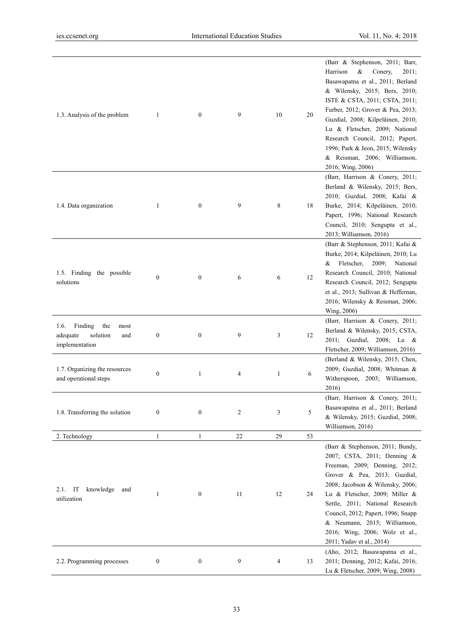| 1.3. Analysis of the problem                                                    | 1                | $\boldsymbol{0}$ | 9  | 10             | 20         | (Barr & Stephenson, 2011; Barr,<br>Harrison<br>&<br>Conery,<br>2011;<br>Basawapatna et al., 2011; Berland<br>& Wilensky, 2015; Bers, 2010;<br>ISTE & CSTA, 2011; CSTA, 2011;<br>Furber, 2012; Grover & Pea, 2013;<br>Guzdial, 2008; Kilpeläinen, 2010;<br>Lu & Fletscher, 2009; National<br>Research Council, 2012; Papert,<br>1996; Park & Jeon, 2015; Wilensky<br>& Reisman, 2006; Williamson,<br>2016; Wing, 2006) |
|---------------------------------------------------------------------------------|------------------|------------------|----|----------------|------------|-----------------------------------------------------------------------------------------------------------------------------------------------------------------------------------------------------------------------------------------------------------------------------------------------------------------------------------------------------------------------------------------------------------------------|
| 1.4. Data organization                                                          | 1                | $\boldsymbol{0}$ | 9  | 8              | 18         | (Barr, Harrison & Conery, 2011;<br>Berland & Wilensky, 2015; Bers,<br>2010; Guzdial, 2008; Kafai &<br>Burke, 2014; Kilpeläinen, 2010;<br>Papert, 1996; National Research<br>Council, 2010; Sengupta et al.,<br>2013; Williamson, 2016)                                                                                                                                                                                |
| 1.5. Finding the possible<br>solutions                                          | $\mathbf{0}$     | $\boldsymbol{0}$ | 6  | 6              | 12         | (Barr & Stephenson, 2011; Kafai &<br>Burke, 2014; Kilpeläinen, 2010; Lu<br>Fletscher,<br>2009;<br>National<br>&<br>Research Council, 2010; National<br>Research Council, 2012; Sengupta<br>et al., 2013; Sullivan & Heffernan,<br>2016; Wilensky & Reisman, 2006;<br>Wing, 2006)                                                                                                                                      |
| Finding<br>the<br>1.6.<br>most<br>adequate<br>solution<br>and<br>implementation | $\boldsymbol{0}$ | $\boldsymbol{0}$ | 9  | 3              | 12         | (Barr, Harrison & Conery, 2011;<br>Berland & Wilensky, 2015; CSTA,<br>2011; Guzdial, 2008; Lu &<br>Fletscher, 2009; Williamson, 2016)                                                                                                                                                                                                                                                                                 |
| 1.7. Organizing the resources<br>and operational steps                          | $\boldsymbol{0}$ | $\mathbf{1}$     | 4  | 1              | 6          | (Berland & Wilensky, 2015; Chen,<br>2009; Guzdial, 2008; Whitman &<br>Witherspoon, 2003; Williamson,<br>2016)                                                                                                                                                                                                                                                                                                         |
| 1.8. Transferring the solution                                                  | $\boldsymbol{0}$ | $\boldsymbol{0}$ | 2  | 3              | $\sqrt{5}$ | (Barr, Harrison & Conery, 2011;<br>Basawapatna et al., 2011; Berland<br>& Wilensky, 2015; Guzdial, 2008;<br>Williamson, 2016)                                                                                                                                                                                                                                                                                         |
| 2. Technology                                                                   | 1                | $\mathbf{1}$     | 22 | 29             | 53         |                                                                                                                                                                                                                                                                                                                                                                                                                       |
| IT<br>knowledge<br>2.1.<br>and<br>utilization                                   | $\mathbf{1}$     | $\boldsymbol{0}$ | 11 | 12             | 24         | (Barr & Stephenson, 2011; Bundy,<br>2007; CSTA, 2011; Denning &<br>Freeman, 2009; Denning, 2012;<br>Grover & Pea, 2013; Guzdial,<br>2008; Jacobson & Wilensky, 2006;<br>Lu & Fletscher, 2009; Miller &<br>Settle, 2011; National Research<br>Council, 2012; Papert, 1996; Snapp<br>& Neumann, 2015; Williamson,<br>2016; Wing, 2006; Wolz et al.,<br>2011; Yadav et al., 2014)                                        |
| 2.2. Programming processes                                                      | $\boldsymbol{0}$ | $\boldsymbol{0}$ | 9  | $\overline{4}$ | 13         | (Aho, 2012; Basawapatna et al.,<br>2011; Denning, 2012; Kafai, 2016;<br>Lu & Fletscher, 2009; Wing, 2008)                                                                                                                                                                                                                                                                                                             |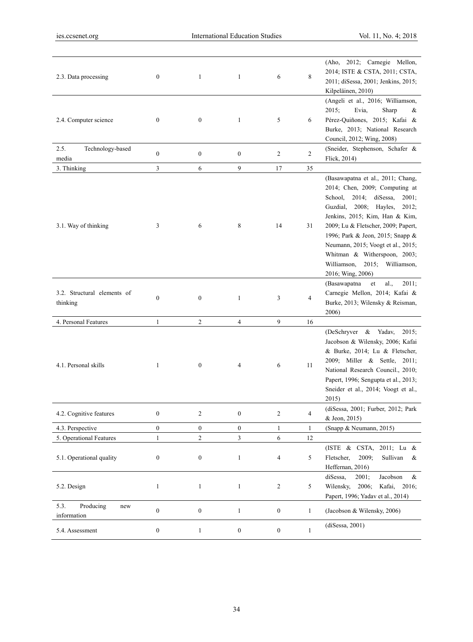| 2.3. Data processing                    | $\boldsymbol{0}$ | $\mathbf{1}$     | $\mathbf{1}$     | 6                | 8              | (Aho, 2012; Carnegie Mellon,<br>2014; ISTE & CSTA, 2011; CSTA,<br>2011; diSessa, 2001; Jenkins, 2015;<br>Kilpeläinen, 2010)                                                                                                                                                                                                                                                                          |
|-----------------------------------------|------------------|------------------|------------------|------------------|----------------|------------------------------------------------------------------------------------------------------------------------------------------------------------------------------------------------------------------------------------------------------------------------------------------------------------------------------------------------------------------------------------------------------|
| 2.4. Computer science                   | $\boldsymbol{0}$ | $\boldsymbol{0}$ | $\mathbf{1}$     | 5                | 6              | (Angeli et al., 2016; Williamson,<br>2015;<br>Evia,<br>Sharp<br>&<br>Pérez-Quiñones, 2015; Kafai &<br>Burke, 2013; National Research<br>Council, 2012; Wing, 2008)                                                                                                                                                                                                                                   |
| 2.5.<br>Technology-based<br>media       | $\boldsymbol{0}$ | $\boldsymbol{0}$ | $\boldsymbol{0}$ | $\sqrt{2}$       | $\sqrt{2}$     | (Sneider, Stephenson, Schafer &<br>Flick, 2014)                                                                                                                                                                                                                                                                                                                                                      |
| 3. Thinking                             | 3                | 6                | 9                | 17               | 35             |                                                                                                                                                                                                                                                                                                                                                                                                      |
| 3.1. Way of thinking                    | 3                | 6                | 8                | 14               | 31             | (Basawapatna et al., 2011; Chang,<br>2014; Chen, 2009; Computing at<br>School,<br>2014;<br>diSessa,<br>2001;<br>Guzdial,<br>2008;<br>Hayles,<br>2012;<br>Jenkins, 2015; Kim, Han & Kim,<br>2009; Lu & Fletscher, 2009; Papert,<br>1996; Park & Jeon, 2015; Snapp &<br>Neumann, 2015; Voogt et al., 2015;<br>Whitman & Witherspoon, 2003;<br>Williamson,<br>2015;<br>Williamson,<br>2016; Wing, 2006) |
| 3.2. Structural elements of<br>thinking | $\boldsymbol{0}$ | $\boldsymbol{0}$ | $\mathbf{1}$     | 3                | $\overline{4}$ | ${\it et}$<br>al.,<br>(Basawapatna<br>2011;<br>Carnegie Mellon, 2014; Kafai &<br>Burke, 2013; Wilensky & Reisman,<br>2006)                                                                                                                                                                                                                                                                           |
| 4. Personal Features                    | $\mathbf{1}$     | $\boldsymbol{2}$ | $\overline{4}$   | 9                | 16             |                                                                                                                                                                                                                                                                                                                                                                                                      |
| 4.1. Personal skills                    | $\mathbf{1}$     | $\boldsymbol{0}$ | 4                | 6                | 11             | (DeSchryver &<br>Yadav,<br>2015;<br>Jacobson & Wilensky, 2006; Kafai<br>& Burke, 2014; Lu & Fletscher,<br>2009; Miller & Settle, 2011;<br>National Research Council., 2010;<br>Papert, 1996; Sengupta et al., 2013;<br>Sneider et al., 2014; Voogt et al.,<br>2015)                                                                                                                                  |
| 4.2. Cognitive features                 | $\boldsymbol{0}$ | $\boldsymbol{2}$ | $\boldsymbol{0}$ | $\boldsymbol{2}$ | $\overline{4}$ | (diSessa, 2001; Furber, 2012; Park<br>& Jeon, 2015)                                                                                                                                                                                                                                                                                                                                                  |
| 4.3. Perspective                        | $\boldsymbol{0}$ | $\boldsymbol{0}$ | $\boldsymbol{0}$ | $\mathbf{1}$     | $\mathbf{1}$   | (Snapp & Neumann, 2015)                                                                                                                                                                                                                                                                                                                                                                              |
| 5. Operational Features                 | $\mathbf{1}$     | $\boldsymbol{2}$ | $\mathfrak{Z}$   | $\sqrt{6}$       | 12             |                                                                                                                                                                                                                                                                                                                                                                                                      |
| 5.1. Operational quality                | $\boldsymbol{0}$ | $\boldsymbol{0}$ | $\mathbf{1}$     | $\overline{4}$   | 5              | 2011; Lu &<br>(ISTE $\&$ CSTA,<br>Fletscher,<br>2009;<br>Sullivan<br>&<br>Heffernan, 2016)                                                                                                                                                                                                                                                                                                           |
| 5.2. Design                             | $\mathbf{1}$     | $\mathbf{1}$     | $\mathbf{1}$     | $\sqrt{2}$       | 5              | Jacobson<br>diSessa,<br>2001;<br>&<br>Wilensky, 2006;<br>Kafai, 2016;<br>Papert, 1996; Yadav et al., 2014)                                                                                                                                                                                                                                                                                           |
| 5.3.<br>Producing<br>new<br>information | $\boldsymbol{0}$ | $\boldsymbol{0}$ | $\mathbf{1}$     | $\boldsymbol{0}$ | $\mathbf{1}$   | (Jacobson & Wilensky, 2006)                                                                                                                                                                                                                                                                                                                                                                          |
| 5.4. Assessment                         | $\boldsymbol{0}$ | $\mathbf{1}$     | $\boldsymbol{0}$ | $\boldsymbol{0}$ | $\mathbf{1}$   | (diSessa, 2001)                                                                                                                                                                                                                                                                                                                                                                                      |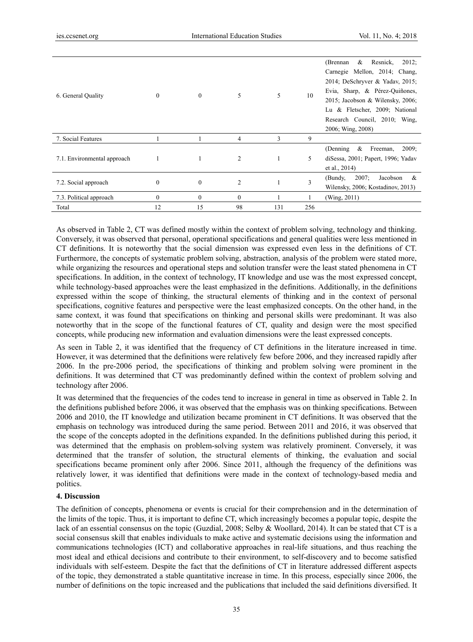|                             |              |          |                |     |     | &<br>Resnick,<br>2012;<br>(Brennan) |
|-----------------------------|--------------|----------|----------------|-----|-----|-------------------------------------|
|                             |              |          | 5              | 5   |     | Carnegie Mellon, 2014; Chang,       |
|                             |              |          |                |     |     | 2014; DeSchryver & Yadav, 2015;     |
| 6. General Quality          | $\theta$     | $\theta$ |                |     | 10  | Evia, Sharp, & Pérez-Quiñones,      |
|                             |              |          |                |     |     | 2015; Jacobson & Wilensky, 2006;    |
|                             |              |          |                |     |     | Lu & Fletscher, 2009; National      |
|                             |              |          |                |     |     | Research Council, 2010; Wing,       |
|                             |              |          |                |     |     | 2006; Wing, 2008)                   |
| 7. Social Features          |              |          | 4              | 3   | 9   |                                     |
| 7.1. Environmental approach | 1            |          | 2              |     |     | &<br>2009:<br>Freeman,<br>(Denning) |
|                             |              |          |                |     | 5   | diSessa, 2001; Papert, 1996; Yadav  |
|                             |              |          |                |     |     | et al., 2014)                       |
| 7.2. Social approach        | $\mathbf{0}$ |          | $\overline{c}$ |     | 3   | 2007;<br>Jacobson<br>&<br>(Bundy,   |
|                             |              | $\theta$ |                |     |     | Wilensky, 2006; Kostadinov, 2013)   |
| 7.3. Political approach     | $\Omega$     | $\theta$ | $\theta$       |     |     | (Wing, $2011$ )                     |
| Total                       | 12           | 15       | 98             | 131 | 256 |                                     |

As observed in Table 2, CT was defined mostly within the context of problem solving, technology and thinking. Conversely, it was observed that personal, operational specifications and general qualities were less mentioned in CT definitions. It is noteworthy that the social dimension was expressed even less in the definitions of CT. Furthermore, the concepts of systematic problem solving, abstraction, analysis of the problem were stated more, while organizing the resources and operational steps and solution transfer were the least stated phenomena in CT specifications. In addition, in the context of technology, IT knowledge and use was the most expressed concept, while technology-based approaches were the least emphasized in the definitions. Additionally, in the definitions expressed within the scope of thinking, the structural elements of thinking and in the context of personal specifications, cognitive features and perspective were the least emphasized concepts. On the other hand, in the same context, it was found that specifications on thinking and personal skills were predominant. It was also noteworthy that in the scope of the functional features of CT, quality and design were the most specified concepts, while producing new information and evaluation dimensions were the least expressed concepts.

As seen in Table 2, it was identified that the frequency of CT definitions in the literature increased in time. However, it was determined that the definitions were relatively few before 2006, and they increased rapidly after 2006. In the pre-2006 period, the specifications of thinking and problem solving were prominent in the definitions. It was determined that CT was predominantly defined within the context of problem solving and technology after 2006.

It was determined that the frequencies of the codes tend to increase in general in time as observed in Table 2. In the definitions published before 2006, it was observed that the emphasis was on thinking specifications. Between 2006 and 2010, the IT knowledge and utilization became prominent in CT definitions. It was observed that the emphasis on technology was introduced during the same period. Between 2011 and 2016, it was observed that the scope of the concepts adopted in the definitions expanded. In the definitions published during this period, it was determined that the emphasis on problem-solving system was relatively prominent. Conversely, it was determined that the transfer of solution, the structural elements of thinking, the evaluation and social specifications became prominent only after 2006. Since 2011, although the frequency of the definitions was relatively lower, it was identified that definitions were made in the context of technology-based media and politics.

## **4. Discussion**

The definition of concepts, phenomena or events is crucial for their comprehension and in the determination of the limits of the topic. Thus, it is important to define CT, which increasingly becomes a popular topic, despite the lack of an essential consensus on the topic (Guzdial, 2008; Selby & Woollard, 2014). It can be stated that CT is a social consensus skill that enables individuals to make active and systematic decisions using the information and communications technologies (ICT) and collaborative approaches in real-life situations, and thus reaching the most ideal and ethical decisions and contribute to their environment, to self-discovery and to become satisfied individuals with self-esteem. Despite the fact that the definitions of CT in literature addressed different aspects of the topic, they demonstrated a stable quantitative increase in time. In this process, especially since 2006, the number of definitions on the topic increased and the publications that included the said definitions diversified. It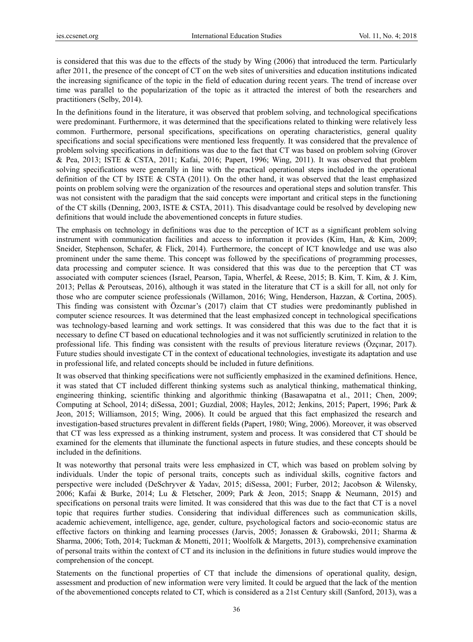is considered that this was due to the effects of the study by Wing (2006) that introduced the term. Particularly after 2011, the presence of the concept of CT on the web sites of universities and education institutions indicated the increasing significance of the topic in the field of education during recent years. The trend of increase over time was parallel to the popularization of the topic as it attracted the interest of both the researchers and practitioners (Selby, 2014).

In the definitions found in the literature, it was observed that problem solving, and technological specifications were predominant. Furthermore, it was determined that the specifications related to thinking were relatively less common. Furthermore, personal specifications, specifications on operating characteristics, general quality specifications and social specifications were mentioned less frequently. It was considered that the prevalence of problem solving specifications in definitions was due to the fact that CT was based on problem solving (Grover & Pea, 2013; ISTE & CSTA, 2011; Kafai, 2016; Papert, 1996; Wing, 2011). It was observed that problem solving specifications were generally in line with the practical operational steps included in the operational definition of the CT by ISTE & CSTA (2011). On the other hand, it was observed that the least emphasized points on problem solving were the organization of the resources and operational steps and solution transfer. This was not consistent with the paradigm that the said concepts were important and critical steps in the functioning of the CT skills (Denning, 2003, ISTE & CSTA, 2011). This disadvantage could be resolved by developing new definitions that would include the abovementioned concepts in future studies.

The emphasis on technology in definitions was due to the perception of ICT as a significant problem solving instrument with communication facilities and access to information it provides (Kim, Han, & Kim, 2009; Sneider, Stephenson, Schafer, & Flick, 2014). Furthermore, the concept of ICT knowledge and use was also prominent under the same theme. This concept was followed by the specifications of programming processes, data processing and computer science. It was considered that this was due to the perception that CT was associated with computer sciences (Israel, Pearson, Tapia, Wherfel, & Reese, 2015; B. Kim, T. Kim, & J. Kim, 2013; Pellas & Peroutseas, 2016), although it was stated in the literature that CT is a skill for all, not only for those who are computer science professionals (Willamon, 2016; Wing, Henderson, Hazzan, & Cortina, 2005). This finding was consistent with Özcınar's (2017) claim that CT studies were predominantly published in computer science resources. It was determined that the least emphasized concept in technological specifications was technology-based learning and work settings. It was considered that this was due to the fact that it is necessary to define CT based on educational technologies and it was not sufficiently scrutinized in relation to the professional life. This finding was consistent with the results of previous literature reviews (Özçınar, 2017). Future studies should investigate CT in the context of educational technologies, investigate its adaptation and use in professional life, and related concepts should be included in future definitions.

It was observed that thinking specifications were not sufficiently emphasized in the examined definitions. Hence, it was stated that CT included different thinking systems such as analytical thinking, mathematical thinking, engineering thinking, scientific thinking and algorithmic thinking (Basawapatna et al., 2011; Chen, 2009; Computing at School, 2014; diSessa, 2001; Guzdial, 2008; Hayles, 2012; Jenkins, 2015; Papert, 1996; Park & Jeon, 2015; Williamson, 2015; Wing, 2006). It could be argued that this fact emphasized the research and investigation-based structures prevalent in different fields (Papert, 1980; Wing, 2006). Moreover, it was observed that CT was less expressed as a thinking instrument, system and process. It was considered that CT should be examined for the elements that illuminate the functional aspects in future studies, and these concepts should be included in the definitions.

It was noteworthy that personal traits were less emphasized in CT, which was based on problem solving by individuals. Under the topic of personal traits, concepts such as individual skills, cognitive factors and perspective were included (DeSchryver & Yadav, 2015; diSessa, 2001; Furber, 2012; Jacobson & Wilensky, 2006; Kafai & Burke, 2014; Lu & Fletscher, 2009; Park & Jeon, 2015; Snapp & Neumann, 2015) and specifications on personal traits were limited. It was considered that this was due to the fact that CT is a novel topic that requires further studies. Considering that individual differences such as communication skills, academic achievement, intelligence, age, gender, culture, psychological factors and socio-economic status are effective factors on thinking and learning processes (Jarvis, 2005; Jonassen & Grabowski, 2011; Sharma & Sharma, 2006; Toth, 2014; Tuckman & Monetti, 2011; Woolfolk & Margetts, 2013), comprehensive examination of personal traits within the context of CT and its inclusion in the definitions in future studies would improve the comprehension of the concept.

Statements on the functional properties of CT that include the dimensions of operational quality, design, assessment and production of new information were very limited. It could be argued that the lack of the mention of the abovementioned concepts related to CT, which is considered as a 21st Century skill (Sanford, 2013), was a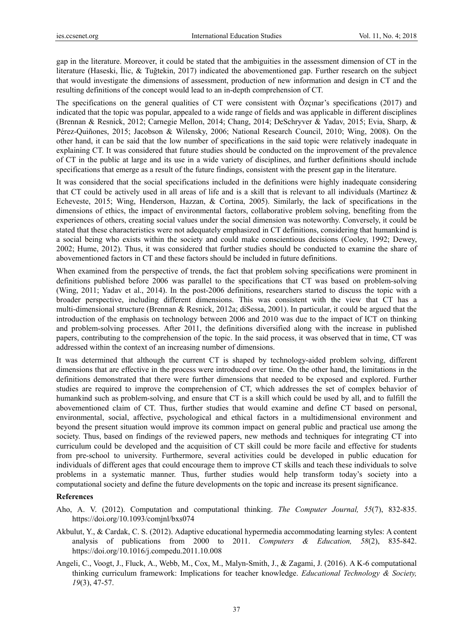gap in the literature. Moreover, it could be stated that the ambiguities in the assessment dimension of CT in the literature (Haseski, İlic, & Tuğtekin, 2017) indicated the abovementioned gap. Further research on the subject that would investigate the dimensions of assessment, production of new information and design in CT and the resulting definitions of the concept would lead to an in-depth comprehension of CT.

The specifications on the general qualities of CT were consistent with Özçınar's specifications (2017) and indicated that the topic was popular, appealed to a wide range of fields and was applicable in different disciplines (Brennan & Resnick, 2012; Carnegie Mellon, 2014; Chang, 2014; DeSchryver & Yadav, 2015; Evia, Sharp, & Pérez-Quiñones, 2015; Jacobson & Wilensky, 2006; National Research Council, 2010; Wing, 2008). On the other hand, it can be said that the low number of specifications in the said topic were relatively inadequate in explaining CT. It was considered that future studies should be conducted on the improvement of the prevalence of CT in the public at large and its use in a wide variety of disciplines, and further definitions should include specifications that emerge as a result of the future findings, consistent with the present gap in the literature.

It was considered that the social specifications included in the definitions were highly inadequate considering that CT could be actively used in all areas of life and is a skill that is relevant to all individuals (Martinez  $\&$ Echeveste, 2015; Wing, Henderson, Hazzan, & Cortina, 2005). Similarly, the lack of specifications in the dimensions of ethics, the impact of environmental factors, collaborative problem solving, benefiting from the experiences of others, creating social values under the social dimension was noteworthy. Conversely, it could be stated that these characteristics were not adequately emphasized in CT definitions, considering that humankind is a social being who exists within the society and could make conscientious decisions (Cooley, 1992; Dewey, 2002; Hume, 2012). Thus, it was considered that further studies should be conducted to examine the share of abovementioned factors in CT and these factors should be included in future definitions.

When examined from the perspective of trends, the fact that problem solving specifications were prominent in definitions published before 2006 was parallel to the specifications that CT was based on problem-solving (Wing, 2011; Yadav et al., 2014). In the post-2006 definitions, researchers started to discuss the topic with a broader perspective, including different dimensions. This was consistent with the view that CT has a multi-dimensional structure (Brennan & Resnick, 2012a; diSessa, 2001). In particular, it could be argued that the introduction of the emphasis on technology between 2006 and 2010 was due to the impact of ICT on thinking and problem-solving processes. After 2011, the definitions diversified along with the increase in published papers, contributing to the comprehension of the topic. In the said process, it was observed that in time, CT was addressed within the context of an increasing number of dimensions.

It was determined that although the current CT is shaped by technology-aided problem solving, different dimensions that are effective in the process were introduced over time. On the other hand, the limitations in the definitions demonstrated that there were further dimensions that needed to be exposed and explored. Further studies are required to improve the comprehension of CT, which addresses the set of complex behavior of humankind such as problem-solving, and ensure that CT is a skill which could be used by all, and to fulfill the abovementioned claim of CT. Thus, further studies that would examine and define CT based on personal, environmental, social, affective, psychological and ethical factors in a multidimensional environment and beyond the present situation would improve its common impact on general public and practical use among the society. Thus, based on findings of the reviewed papers, new methods and techniques for integrating CT into curriculum could be developed and the acquisition of CT skill could be more facile and effective for students from pre-school to university. Furthermore, several activities could be developed in public education for individuals of different ages that could encourage them to improve CT skills and teach these individuals to solve problems in a systematic manner. Thus, further studies would help transform today's society into a computational society and define the future developments on the topic and increase its present significance.

#### **References**

- Aho, A. V. (2012). Computation and computational thinking. *The Computer Journal, 55*(7), 832-835. https://doi.org/10.1093/comjnl/bxs074
- Akbulut, Y., & Cardak, C. S. (2012). Adaptive educational hypermedia accommodating learning styles: A content analysis of publications from 2000 to 2011. *Computers & Education, 58*(2), 835-842. https://doi.org/10.1016/j.compedu.2011.10.008
- Angeli, C., Voogt, J., Fluck, A., Webb, M., Cox, M., Malyn-Smith, J., & Zagami, J. (2016). A K-6 computational thinking curriculum framework: Implications for teacher knowledge. *Educational Technology & Society, 19*(3), 47-57.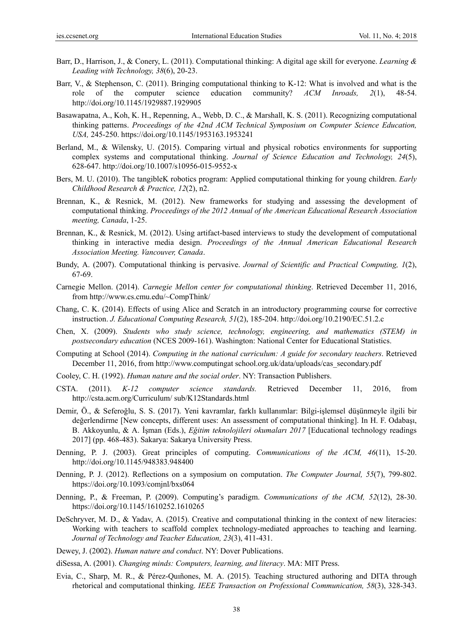- Barr, D., Harrison, J., & Conery, L. (2011). Computational thinking: A digital age skill for everyone. *Learning & Leading with Technology, 38*(6), 20-23.
- Barr, V., & Stephenson, C. (2011). Bringing computational thinking to K-12: What is involved and what is the role of the computer science education community? *ACM Inroads, 2*(1), 48-54. http://doi.org/10.1145/1929887.1929905
- Basawapatna, A., Koh, K. H., Repenning, A., Webb, D. C., & Marshall, K. S. (2011). Recognizing computational thinking patterns. *Proceedings of the 42nd ACM Technical Symposium on Computer Science Education, USA,* 245-250. https://doi.org/10.1145/1953163.1953241
- Berland, M., & Wilensky, U. (2015). Comparing virtual and physical robotics environments for supporting complex systems and computational thinking. *Journal of Science Education and Technology, 24*(5), 628-647. http://doi.org/10.1007/s10956-015-9552-x
- Bers, M. U. (2010). The tangibleK robotics program: Applied computational thinking for young children. *Early Childhood Research & Practice, 12*(2), n2.
- Brennan, K., & Resnick, M. (2012). New frameworks for studying and assessing the development of computational thinking. *Proceedings of the 2012 Annual of the American Educational Research Association meeting, Canada*, 1-25.
- Brennan, K., & Resnick, M. (2012). Using artifact-based interviews to study the development of computational thinking in interactive media design. *Proceedings of the Annual American Educational Research Association Meeting. Vancouver, Canada*.
- Bundy, A. (2007). Computational thinking is pervasive. *Journal of Scientific and Practical Computing, 1*(2), 67-69.
- Carnegie Mellon. (2014). *Carnegie Mellon center for computational thinking*. Retrieved December 11, 2016, from http://www.cs.cmu.edu/~CompThink/
- Chang, C. K. (2014). Effects of using Alice and Scratch in an introductory programming course for corrective instruction. *J. Educational Computing Research, 51*(2), 185-204. http://doi.org/10.2190/EC.51.2.c
- Chen, X. (2009). *Students who study science, technology, engineering, and mathematics (STEM) in postsecondary education* (NCES 2009-161). Washington: National Center for Educational Statistics.
- Computing at School (2014). *Computing in the national curriculum: A guide for secondary teachers*. Retrieved December 11, 2016, from http://www.computingat school.org.uk/data/uploads/cas\_secondary.pdf
- Cooley, C. H. (1992). *Human nature and the social order*. NY: Transaction Publishers.
- CSTA. (2011). *K-12 computer science standards.* Retrieved December 11, 2016, from http://csta.acm.org/Curriculum/ sub/K12Standards.html
- Demir, Ö., & Seferoğlu, S. S. (2017). Yeni kavramlar, farklı kullanımlar: Bilgi-işlemsel düşünmeyle ilgili bir değerlendirme [New concepts, different uses: An assessment of computational thinking]. In H. F. Odabaşı, B. Akkoyunlu, & A. İşman (Eds.), *Eğitim teknolojileri okumaları 2017* [Educational technology readings 2017] (pp. 468-483). Sakarya: Sakarya University Press.
- Denning, P. J. (2003). Great principles of computing. *Communications of the ACM, 46*(11), 15-20. http://doi.org/10.1145/948383.948400
- Denning, P. J. (2012). Reflections on a symposium on computation. *The Computer Journal, 55*(7), 799-802. https://doi.org/10.1093/comjnl/bxs064
- Denning, P., & Freeman, P. (2009). Computing's paradigm. *Communications of the ACM, 52*(12), 28-30. https://doi.org/10.1145/1610252.1610265
- DeSchryver, M. D., & Yadav, A. (2015). Creative and computational thinking in the context of new literacies: Working with teachers to scaffold complex technology-mediated approaches to teaching and learning. *Journal of Technology and Teacher Education, 23*(3), 411-431.
- Dewey, J. (2002). *Human nature and conduct*. NY: Dover Publications.
- diSessa, A. (2001). *Changing minds: Computers, learning, and literacy*. MA: MIT Press.
- Evia, C., Sharp, M. R., & Pérez-Quıñones, M. A. (2015). Teaching structured authoring and DITA through rhetorical and computational thinking. *IEEE Transaction on Professional Communication, 58*(3), 328-343.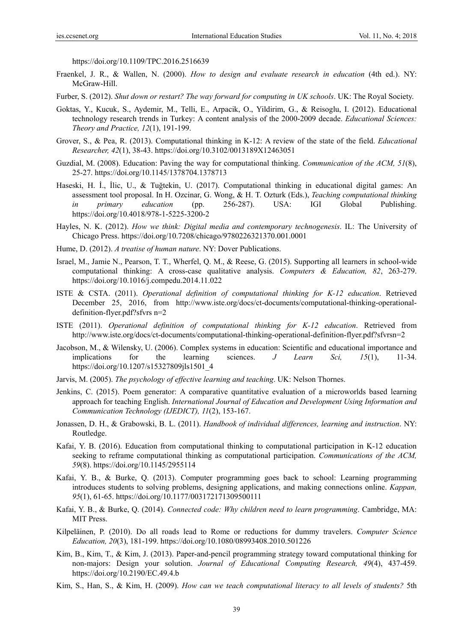https://doi.org/10.1109/TPC.2016.2516639

- Fraenkel, J. R., & Wallen, N. (2000). *How to design and evaluate research in education* (4th ed.). NY: McGraw-Hill.
- Furber, S. (2012). *Shut down or restart? The way forward for computing in UK schools*. UK: The Royal Society.
- Goktas, Y., Kucuk, S., Aydemir, M., Telli, E., Arpacik, O., Yildirim, G., & Reisoglu, I. (2012). Educational technology research trends in Turkey: A content analysis of the 2000-2009 decade. *Educational Sciences: Theory and Practice, 12*(1), 191-199.
- Grover, S., & Pea, R. (2013). Computational thinking in K-12: A review of the state of the field. *Educational Researcher, 42*(1), 38-43. https://doi.org/10.3102/0013189X12463051
- Guzdial, M. (2008). Education: Paving the way for computational thinking. *Communication of the ACM, 51*(8), 25-27. https://doi.org/10.1145/1378704.1378713
- Haseski, H. İ., İlic, U., & Tuğtekin, U. (2017). Computational thinking in educational digital games: An assessment tool proposal. In H. Ozcinar, G. Wong, & H. T. Ozturk (Eds.), *Teaching computational thinking in primary education* (pp. 256-287). USA: IGI Global Publishing. https://doi.org/10.4018/978-1-5225-3200-2
- Hayles, N. K. (2012). *How we think: Digital media and contemporary technogenesis*. IL: The University of Chicago Press. https://doi.org/10.7208/chicago/9780226321370.001.0001
- Hume, D. (2012). *A treatise of human nature*. NY: Dover Publications.
- Israel, M., Jamie N., Pearson, T. T., Wherfel, Q. M., & Reese, G. (2015). Supporting all learners in school-wide computational thinking: A cross-case qualitative analysis. *Computers & Education, 82*, 263-279. https://doi.org/10.1016/j.compedu.2014.11.022
- ISTE & CSTA. (2011). *Operational definition of computational thinking for K-12 education*. Retrieved December 25, 2016, from http://www.iste.org/docs/ct-documents/computational-thinking-operationaldefinition-flyer.pdf?sfvrs n=2
- ISTE (2011). *Operational definition of computational thinking for K-12 education*. Retrieved from http://www.iste.org/docs/ct-documents/computational-thinking-operational-definition-flyer.pdf?sfvrsn=2
- Jacobson, M., & Wilensky, U. (2006). Complex systems in education: Scientific and educational importance and implications for the learning sciences. *J Learn Sci, 15*(1), 11-34. https://doi.org/10.1207/s15327809jls1501\_4
- Jarvis, M. (2005). *The psychology of effective learning and teaching*. UK: Nelson Thornes.
- Jenkins, C. (2015). Poem generator: A comparative quantitative evaluation of a microworlds based learning approach for teaching English. *International Journal of Education and Development Using Information and Communication Technology (IJEDICT), 11*(2), 153-167.
- Jonassen, D. H., & Grabowski, B. L. (2011). *Handbook of individual differences, learning and instruction*. NY: Routledge.
- Kafai, Y. B. (2016). Education from computational thinking to computational participation in K-12 education seeking to reframe computational thinking as computational participation. *Communications of the ACM, 59*(8). https://doi.org/10.1145/2955114
- Kafai, Y. B., & Burke, Q. (2013). Computer programming goes back to school: Learning programming introduces students to solving problems, designing applications, and making connections online. *Kappan, 95*(1), 61-65. https://doi.org/10.1177/003172171309500111
- Kafai, Y. B., & Burke, Q. (2014). *Connected code: Why children need to learn programming*. Cambridge, MA: MIT Press.
- Kilpeläinen, P. (2010). Do all roads lead to Rome or reductions for dummy travelers. *Computer Science Education, 20*(3), 181-199. https://doi.org/10.1080/08993408.2010.501226
- Kim, B., Kim, T., & Kim, J. (2013). Paper-and-pencil programming strategy toward computational thinking for non-majors: Design your solution. *Journal of Educational Computing Research, 49*(4), 437-459. https://doi.org/10.2190/EC.49.4.b
- Kim, S., Han, S., & Kim, H. (2009). *How can we teach computational literacy to all levels of students?* 5th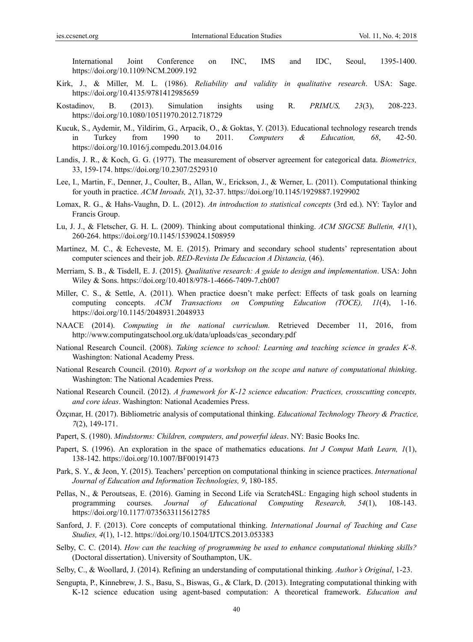International Joint Conference on INC, IMS and IDC, Seoul, 1395-1400. https://doi.org/10.1109/NCM.2009.192

- Kirk, J., & Miller, M. L. (1986). *Reliability and validity in qualitative research*. USA: Sage. https://doi.org/10.4135/9781412985659
- Kostadinov, B. (2013). Simulation insights using R. *PRIMUS, 23*(3), 208-223. https://doi.org/10.1080/10511970.2012.718729
- Kucuk, S., Aydemir, M., Yildirim, G., Arpacik, O., & Goktas, Y. (2013). Educational technology research trends in Turkey from 1990 to 2011. *Computers & Education, 68*, 42-50. https://doi.org/10.1016/j.compedu.2013.04.016
- Landis, J. R., & Koch, G. G. (1977). The measurement of observer agreement for categorical data. *Biometrics,* 33, 159-174. https://doi.org/10.2307/2529310
- Lee, I., Martin, F., Denner, J., Coulter, B., Allan, W., Erickson, J., & Werner, L. (2011). Computational thinking for youth in practice. *ACM Inroads, 2*(1), 32-37. https://doi.org/10.1145/1929887.1929902
- Lomax, R. G., & Hahs-Vaughn, D. L. (2012). *An introduction to statistical concepts* (3rd ed.). NY: Taylor and Francis Group.
- Lu, J. J., & Fletscher, G. H. L. (2009). Thinking about computational thinking. *ACM SIGCSE Bulletin, 41*(1), 260-264. https://doi.org/10.1145/1539024.1508959
- Martinez, M. C., & Echeveste, M. E. (2015). Primary and secondary school students' representation about computer sciences and their job. *RED-Revista De Educacion A Distancia,* (46).
- Merriam, S. B., & Tisdell, E. J. (2015). *Qualitative research: A guide to design and implementation*. USA: John Wiley & Sons. https://doi.org/10.4018/978-1-4666-7409-7.ch007
- Miller, C. S., & Settle, A. (2011). When practice doesn't make perfect: Effects of task goals on learning computing concepts. *ACM Transactions on Computing Education (TOCE), 11*(4), 1-16. https://doi.org/10.1145/2048931.2048933
- NAACE (2014). *Computing in the national curriculum.* Retrieved December 11, 2016, from http://www.computingatschool.org.uk/data/uploads/cas\_secondary.pdf
- National Research Council. (2008). *Taking science to school: Learning and teaching science in grades K-8*. Washington: National Academy Press.
- National Research Council. (2010). *Report of a workshop on the scope and nature of computational thinking*. Washington: The National Academies Press.
- National Research Council. (2012). *A framework for K-12 science education: Practices, crosscutting concepts, and core ideas*. Washington: National Academies Press.
- Özçınar, H. (2017). Bibliometric analysis of computational thinking. *Educational Technology Theory & Practice, 7*(2), 149-171.
- Papert, S. (1980). *Mindstorms: Children, computers, and powerful ideas*. NY: Basic Books Inc.
- Papert, S. (1996). An exploration in the space of mathematics educations. *Int J Comput Math Learn, 1*(1), 138-142. https://doi.org/10.1007/BF00191473
- Park, S. Y., & Jeon, Y. (2015). Teachers' perception on computational thinking in science practices. *International Journal of Education and Information Technologies, 9*, 180-185.
- Pellas, N., & Peroutseas, E. (2016). Gaming in Second Life via Scratch4SL: Engaging high school students in programming courses. *Journal of Educational Computing Research, 54*(1), 108-143. https://doi.org/10.1177/0735633115612785
- Sanford, J. F. (2013). Core concepts of computational thinking. *International Journal of Teaching and Case Studies, 4*(1), 1-12. https://doi.org/10.1504/IJTCS.2013.053383
- Selby, C. C. (2014). *How can the teaching of programming be used to enhance computational thinking skills?* (Doctoral dissertation). University of Southampton, UK.
- Selby, C., & Woollard, J. (2014). Refining an understanding of computational thinking*. Author's Original*, 1-23.
- Sengupta, P., Kinnebrew, J. S., Basu, S., Biswas, G., & Clark, D. (2013). Integrating computational thinking with K-12 science education using agent-based computation: A theoretical framework. *Education and*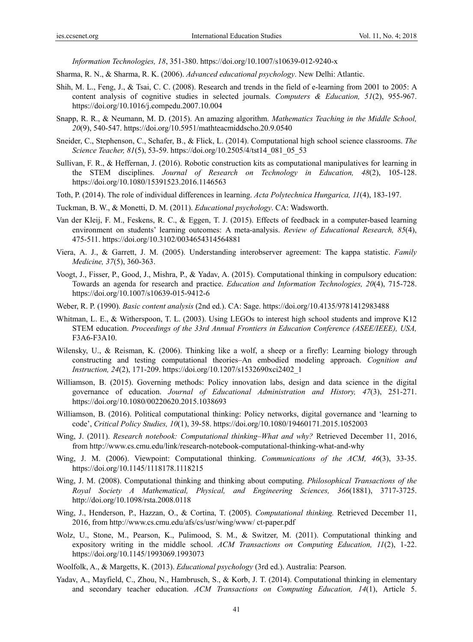*Information Technologies, 18*, 351-380. https://doi.org/10.1007/s10639-012-9240-x

Sharma, R. N., & Sharma, R. K. (2006). *Advanced educational psychology*. New Delhi: Atlantic.

- Shih, M. L., Feng, J., & Tsai, C. C. (2008). Research and trends in the field of e-learning from 2001 to 2005: A content analysis of cognitive studies in selected journals. *Computers & Education, 51*(2), 955-967. https://doi.org/10.1016/j.compedu.2007.10.004
- Snapp, R. R., & Neumann, M. D. (2015). An amazing algorithm. *Mathematics Teaching in the Middle School, 20*(9), 540-547. https://doi.org/10.5951/mathteacmiddscho.20.9.0540
- Sneider, C., Stephenson, C., Schafer, B., & Flick, L. (2014). Computational high school science classrooms. *The Science Teacher, 81*(5), 53-59. https://doi.org/10.2505/4/tst14\_081\_05\_53
- Sullivan, F. R., & Heffernan, J. (2016). Robotic construction kits as computational manipulatives for learning in the STEM disciplines. *Journal of Research on Technology in Education, 48*(2), 105-128. https://doi.org/10.1080/15391523.2016.1146563
- Toth, P. (2014). The role of individual differences in learning. *Acta Polytechnica Hungarica, 11*(4), 183-197.
- Tuckman, B. W., & Monetti, D. M. (2011). *Educational psychology*. CA: Wadsworth.
- Van der Kleij, F. M., Feskens, R. C., & Eggen, T. J. (2015). Effects of feedback in a computer-based learning environment on students' learning outcomes: A meta-analysis. *Review of Educational Research, 85*(4), 475-511. https://doi.org/10.3102/0034654314564881
- Viera, A. J., & Garrett, J. M. (2005). Understanding interobserver agreement: The kappa statistic. *Family Medicine, 37*(5), 360-363.
- Voogt, J., Fisser, P., Good, J., Mishra, P., & Yadav, A. (2015). Computational thinking in compulsory education: Towards an agenda for research and practice. *Education and Information Technologies, 20*(4), 715-728. https://doi.org/10.1007/s10639-015-9412-6
- Weber, R. P. (1990). *Basic content analysis* (2nd ed.). CA: Sage. https://doi.org/10.4135/9781412983488
- Whitman, L. E., & Witherspoon, T. L. (2003). Using LEGOs to interest high school students and improve K12 STEM education. *Proceedings of the 33rd Annual Frontiers in Education Conference (ASEE/IEEE), USA,* F3A6-F3A10.
- Wilensky, U., & Reisman, K. (2006). Thinking like a wolf, a sheep or a firefly: Learning biology through constructing and testing computational theories–An embodied modeling approach. *Cognition and Instruction, 24*(2), 171-209. https://doi.org/10.1207/s1532690xci2402\_1
- Williamson, B. (2015). Governing methods: Policy innovation labs, design and data science in the digital governance of education. *Journal of Educational Administration and History, 47*(3), 251-271. https://doi.org/10.1080/00220620.2015.1038693
- Williamson, B. (2016). Political computational thinking: Policy networks, digital governance and 'learning to code', *Critical Policy Studies, 10*(1), 39-58. https://doi.org/10.1080/19460171.2015.1052003
- Wing, J. (2011). *Research notebook: Computational thinking–What and why?* Retrieved December 11, 2016, from http://www.cs.cmu.edu/link/research-notebook-computational-thinking-what-and-why
- Wing, J. M. (2006). Viewpoint: Computational thinking. *Communications of the ACM, 46*(3), 33-35. https://doi.org/10.1145/1118178.1118215
- Wing, J. M. (2008). Computational thinking and thinking about computing. *Philosophical Transactions of the Royal Society A Mathematical, Physical, and Engineering Sciences, 366*(1881), 3717-3725. http://doi.org/10.1098/rsta.2008.0118
- Wing, J., Henderson, P., Hazzan, O., & Cortina, T. (2005). *Computational thinking.* Retrieved December 11, 2016, from http://www.cs.cmu.edu/afs/cs/usr/wing/www/ ct-paper.pdf
- Wolz, U., Stone, M., Pearson, K., Pulimood, S. M., & Switzer, M. (2011). Computational thinking and expository writing in the middle school. *ACM Transactions on Computing Education, 11*(2), 1-22. https://doi.org/10.1145/1993069.1993073
- Woolfolk, A., & Margetts, K. (2013). *Educational psychology* (3rd ed.). Australia: Pearson.
- Yadav, A., Mayfield, C., Zhou, N., Hambrusch, S., & Korb, J. T. (2014). Computational thinking in elementary and secondary teacher education. *ACM Transactions on Computing Education, 14*(1), Article 5.